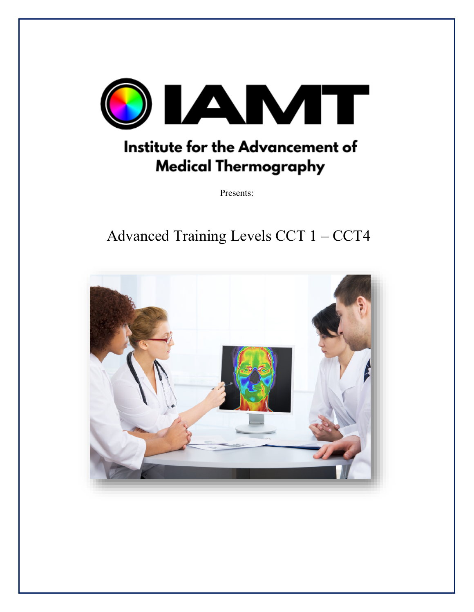

# Institute for the Advancement of **Medical Thermography**

Presents:

# Advanced Training Levels CCT 1 - CCT4

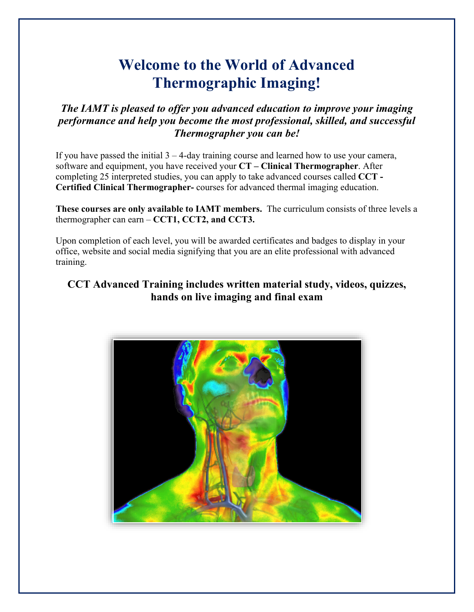# **Welcome to the World of Advanced Thermographic Imaging!**

*The IAMT is pleased to offer you advanced education to improve your imaging performance and help you become the most professional, skilled, and successful Thermographer you can be!*

If you have passed the initial  $3 - 4$ -day training course and learned how to use your camera, software and equipment, you have received your **CT – Clinical Thermographer**. After completing 25 interpreted studies, you can apply to take advanced courses called **CCT - Certified Clinical Thermographer-** courses for advanced thermal imaging education.

**These courses are only available to IAMT members.** The curriculum consists of three levels a thermographer can earn – **CCT1, CCT2, and CCT3.** 

Upon completion of each level, you will be awarded certificates and badges to display in your office, website and social media signifying that you are an elite professional with advanced training.

## **CCT Advanced Training includes written material study, videos, quizzes, hands on live imaging and final exam**

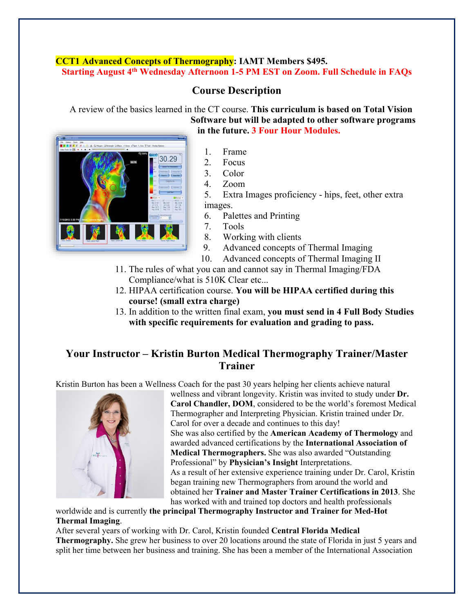## **CCT1 Advanced Concepts of Thermography: IAMT Members \$495. Starting August 4th Wednesday Afternoon 1-5 PM EST on Zoom. Full Schedule in FAQs**

## **Course Description**

A review of the basics learned in the CT course. **This curriculum is based on Total Vision Software but will be adapted to other software programs** 



# **in the future. 3 Four Hour Modules.**

- 1. Frame
- 2. Focus
- 3. Color
- 4. Zoom

5. Extra Images proficiency - hips, feet, other extra images.

- 6. Palettes and Printing
- 7. Tools
- 8. Working with clients
- 9. Advanced concepts of Thermal Imaging
- 10. Advanced concepts of Thermal Imaging II
- 11. The rules of what you can and cannot say in Thermal Imaging/FDA Compliance/what is 510K Clear etc...
- 12. HIPAA certification course. **You will be HIPAA certified during this course! (small extra charge)**
- 13. In addition to the written final exam, **you must send in 4 Full Body Studies with specific requirements for evaluation and grading to pass.**

## **Your Instructor – Kristin Burton Medical Thermography Trainer/Master Trainer**

Kristin Burton has been a Wellness Coach for the past 30 years helping her clients achieve natural



wellness and vibrant longevity. Kristin was invited to study under **Dr. Carol Chandler, DOM**, considered to be the world's foremost Medical Thermographer and Interpreting Physician. Kristin trained under Dr. Carol for over a decade and continues to this day! She was also certified by the **American Academy of Thermology** and awarded advanced certifications by the **International Association of Medical Thermographers.** She was also awarded "Outstanding Professional" by **Physician's Insight** Interpretations. As a result of her extensive experience training under Dr. Carol, Kristin began training new Thermographers from around the world and obtained her **Trainer and Master Trainer Certifications in 2013**. She has worked with and trained top doctors and health professionals

worldwide and is currently **the principal Thermography Instructor and Trainer for Med-Hot Thermal Imaging**.

After several years of working with Dr. Carol, Kristin founded **Central Florida Medical Thermography.** She grew her business to over 20 locations around the state of Florida in just 5 years and split her time between her business and training. She has been a member of the International Association